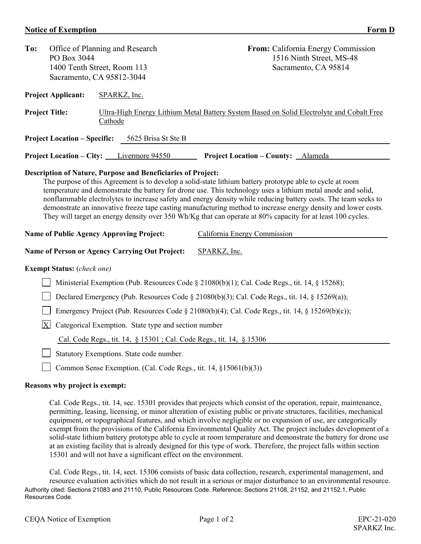## **Notice of Exemption** Form D

| To:                                                                                                                                                                                                                                                                                                                                                                                                                                                                                                                                                                                                                                                                                                                              | PO Box 3044                                                      | Office of Planning and Research<br>1400 Tenth Street, Room 113<br>Sacramento, CA 95812-3044 | From: California Energy Commission<br>1516 Ninth Street, MS-48<br>Sacramento, CA 95814    |  |  |  |  |
|----------------------------------------------------------------------------------------------------------------------------------------------------------------------------------------------------------------------------------------------------------------------------------------------------------------------------------------------------------------------------------------------------------------------------------------------------------------------------------------------------------------------------------------------------------------------------------------------------------------------------------------------------------------------------------------------------------------------------------|------------------------------------------------------------------|---------------------------------------------------------------------------------------------|-------------------------------------------------------------------------------------------|--|--|--|--|
|                                                                                                                                                                                                                                                                                                                                                                                                                                                                                                                                                                                                                                                                                                                                  | <b>Project Applicant:</b>                                        | SPARKZ, Inc.                                                                                |                                                                                           |  |  |  |  |
| <b>Project Title:</b><br>Cathode                                                                                                                                                                                                                                                                                                                                                                                                                                                                                                                                                                                                                                                                                                 |                                                                  |                                                                                             | Ultra-High Energy Lithium Metal Battery System Based on Solid Electrolyte and Cobalt Free |  |  |  |  |
| <b>Project Location - Specific:</b><br>5625 Brisa St Ste B                                                                                                                                                                                                                                                                                                                                                                                                                                                                                                                                                                                                                                                                       |                                                                  |                                                                                             |                                                                                           |  |  |  |  |
| <b>Project Location – City:</b> Livermore 94550<br><b>Project Location - County:</b> Alameda                                                                                                                                                                                                                                                                                                                                                                                                                                                                                                                                                                                                                                     |                                                                  |                                                                                             |                                                                                           |  |  |  |  |
| Description of Nature, Purpose and Beneficiaries of Project:<br>The purpose of this Agreement is to develop a solid-state lithium battery prototype able to cycle at room<br>temperature and demonstrate the battery for drone use. This technology uses a lithium metal anode and solid,<br>nonflammable electrolytes to increase safety and energy density while reducing battery costs. The team seeks to<br>demonstrate an innovative freeze tape casting manufacturing method to increase energy density and lower costs.<br>They will target an energy density over 350 Wh/Kg that can operate at 80% capacity for at least 100 cycles.<br><b>Name of Public Agency Approving Project:</b><br>California Energy Commission |                                                                  |                                                                                             |                                                                                           |  |  |  |  |
|                                                                                                                                                                                                                                                                                                                                                                                                                                                                                                                                                                                                                                                                                                                                  |                                                                  | Name of Person or Agency Carrying Out Project:                                              | SPARKZ, Inc.                                                                              |  |  |  |  |
|                                                                                                                                                                                                                                                                                                                                                                                                                                                                                                                                                                                                                                                                                                                                  | <b>Exempt Status:</b> (check one)                                |                                                                                             |                                                                                           |  |  |  |  |
| Ministerial Exemption (Pub. Resources Code § 21080(b)(1); Cal. Code Regs., tit. 14, § 15268);                                                                                                                                                                                                                                                                                                                                                                                                                                                                                                                                                                                                                                    |                                                                  |                                                                                             |                                                                                           |  |  |  |  |
| Declared Emergency (Pub. Resources Code § 21080(b)(3); Cal. Code Regs., tit. 14, § 15269(a));                                                                                                                                                                                                                                                                                                                                                                                                                                                                                                                                                                                                                                    |                                                                  |                                                                                             |                                                                                           |  |  |  |  |
| Emergency Project (Pub. Resources Code § 21080(b)(4); Cal. Code Regs., tit. 14, § 15269(b)(c));                                                                                                                                                                                                                                                                                                                                                                                                                                                                                                                                                                                                                                  |                                                                  |                                                                                             |                                                                                           |  |  |  |  |
| $\mathbf X$<br>Categorical Exemption. State type and section number                                                                                                                                                                                                                                                                                                                                                                                                                                                                                                                                                                                                                                                              |                                                                  |                                                                                             |                                                                                           |  |  |  |  |
| Cal. Code Regs., tit. 14, § 15301; Cal. Code Regs., tit. 14, § 15306                                                                                                                                                                                                                                                                                                                                                                                                                                                                                                                                                                                                                                                             |                                                                  |                                                                                             |                                                                                           |  |  |  |  |
| Statutory Exemptions. State code number.                                                                                                                                                                                                                                                                                                                                                                                                                                                                                                                                                                                                                                                                                         |                                                                  |                                                                                             |                                                                                           |  |  |  |  |
|                                                                                                                                                                                                                                                                                                                                                                                                                                                                                                                                                                                                                                                                                                                                  | Common Sense Exemption. (Cal. Code Regs., tit. 14, §15061(b)(3)) |                                                                                             |                                                                                           |  |  |  |  |
| Reasons why project is exempt:                                                                                                                                                                                                                                                                                                                                                                                                                                                                                                                                                                                                                                                                                                   |                                                                  |                                                                                             |                                                                                           |  |  |  |  |

Cal. Code Regs., tit. 14, sec. 15301 provides that projects which consist of the operation, repair, maintenance, permitting, leasing, licensing, or minor alteration of existing public or private structures, facilities, mechanical equipment, or topographical features, and which involve negligible or no expansion of use, are categorically exempt from the provisions of the California Environmental Quality Act. The project includes development of a solid-state lithium battery prototype able to cycle at room temperature and demonstrate the battery for drone use at an existing facility that is already designed for this type of work. Therefore, the project falls within section 15301 and will not have a significant effect on the environment.

Authority cited: Sections 21083 and 21110, Public Resources Code. Reference: Sections 21108, 21152, and 21152.1, Public Resources Code. Cal. Code Regs., tit. 14, sect. 15306 consists of basic data collection, research, experimental management, and resource evaluation activities which do not result in a serious or major disturbance to an environmental resource.